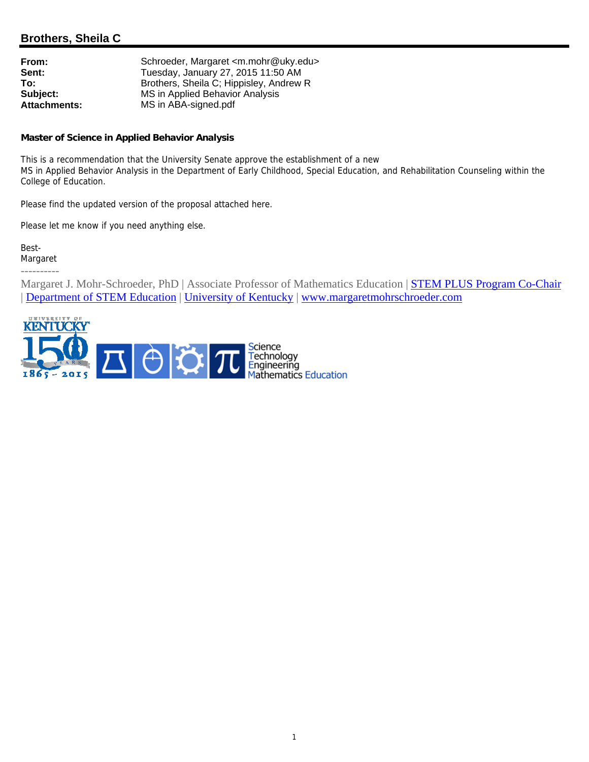## **Brothers, Sheila C**

| Schroeder, Margaret <m.mohr@uky.edu></m.mohr@uky.edu> |
|-------------------------------------------------------|
| Tuesday, January 27, 2015 11:50 AM                    |
| Brothers, Sheila C; Hippisley, Andrew R               |
| MS in Applied Behavior Analysis                       |
| MS in ABA-signed.pdf                                  |
|                                                       |

#### **Master of Science in Applied Behavior Analysis**

This is a recommendation that the University Senate approve the establishment of a new MS in Applied Behavior Analysis in the Department of Early Childhood, Special Education, and Rehabilitation Counseling within the College of Education.

Please find the updated version of the proposal attached here.

Please let me know if you need anything else.

Best-Margaret

----------

Margaret J. Mohr-Schroeder, PhD | Associate Professor of Mathematics Education | **STEM PLUS Program Co-Chair** | Department of STEM Education | University of Kentucky | www.margaretmohrschroeder.com

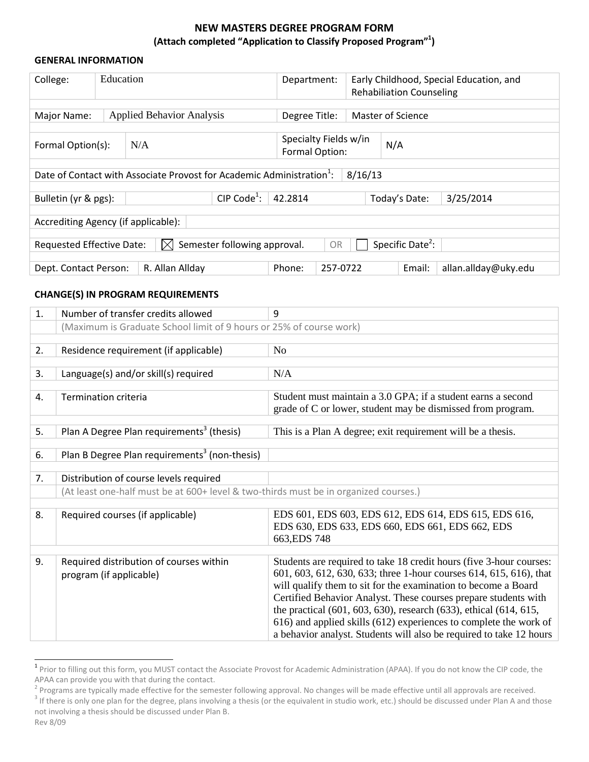## **NEW MASTERS DEGREE PROGRAM FORM (Attach completed "Application to Classify Proposed Program"1 )**

## **GENERAL INFORMATION**

| College:                                                                                                              | Education |                                                                                   |         | Department:   |                                         |                   |                                 | Early Childhood, Special Education, and |
|-----------------------------------------------------------------------------------------------------------------------|-----------|-----------------------------------------------------------------------------------|---------|---------------|-----------------------------------------|-------------------|---------------------------------|-----------------------------------------|
|                                                                                                                       |           |                                                                                   |         |               |                                         |                   | <b>Rehabiliation Counseling</b> |                                         |
|                                                                                                                       |           |                                                                                   |         |               |                                         |                   |                                 |                                         |
| Major Name:                                                                                                           |           | <b>Applied Behavior Analysis</b>                                                  |         | Degree Title: |                                         | Master of Science |                                 |                                         |
|                                                                                                                       |           |                                                                                   |         |               |                                         |                   |                                 |                                         |
| Formal Option(s):                                                                                                     |           | N/A                                                                               |         |               | Specialty Fields w/in<br>Formal Option: |                   | N/A                             |                                         |
|                                                                                                                       |           |                                                                                   |         |               |                                         |                   |                                 |                                         |
|                                                                                                                       |           | Date of Contact with Associate Provost for Academic Administration <sup>1</sup> : |         |               |                                         | 8/16/13           |                                 |                                         |
|                                                                                                                       |           |                                                                                   |         |               |                                         |                   |                                 |                                         |
| CIP Code <sup>1</sup> :<br>Bulletin (yr & pgs):                                                                       |           |                                                                                   | 42.2814 |               |                                         | Today's Date:     | 3/25/2014                       |                                         |
|                                                                                                                       |           |                                                                                   |         |               |                                         |                   |                                 |                                         |
| Accrediting Agency (if applicable):                                                                                   |           |                                                                                   |         |               |                                         |                   |                                 |                                         |
|                                                                                                                       |           |                                                                                   |         |               |                                         |                   |                                 |                                         |
| Specific Date <sup>2</sup> :<br>Semester following approval.<br>Requested Effective Date:<br>$\boxtimes$<br><b>OR</b> |           |                                                                                   |         |               |                                         |                   |                                 |                                         |
|                                                                                                                       |           |                                                                                   |         |               |                                         |                   |                                 |                                         |
| Dept. Contact Person:                                                                                                 |           | R. Allan Allday                                                                   |         | Phone:        | 257-0722                                |                   | Email:                          | allan.allday@uky.edu                    |

## **CHANGE(S) IN PROGRAM REQUIREMENTS**

| 1. | Number of transfer credits allowed                                                   | 9                                                                                                                                                                                                                                                                                                                                                                                                                        |  |  |  |  |  |
|----|--------------------------------------------------------------------------------------|--------------------------------------------------------------------------------------------------------------------------------------------------------------------------------------------------------------------------------------------------------------------------------------------------------------------------------------------------------------------------------------------------------------------------|--|--|--|--|--|
|    | (Maximum is Graduate School limit of 9 hours or 25% of course work)                  |                                                                                                                                                                                                                                                                                                                                                                                                                          |  |  |  |  |  |
|    |                                                                                      |                                                                                                                                                                                                                                                                                                                                                                                                                          |  |  |  |  |  |
| 2. | Residence requirement (if applicable)                                                | N <sub>0</sub>                                                                                                                                                                                                                                                                                                                                                                                                           |  |  |  |  |  |
|    |                                                                                      |                                                                                                                                                                                                                                                                                                                                                                                                                          |  |  |  |  |  |
| 3. | Language(s) and/or skill(s) required                                                 | N/A                                                                                                                                                                                                                                                                                                                                                                                                                      |  |  |  |  |  |
| 4. | <b>Termination criteria</b>                                                          | Student must maintain a 3.0 GPA; if a student earns a second<br>grade of C or lower, student may be dismissed from program.                                                                                                                                                                                                                                                                                              |  |  |  |  |  |
| 5. | Plan A Degree Plan requirements <sup>3</sup> (thesis)                                | This is a Plan A degree; exit requirement will be a thesis.                                                                                                                                                                                                                                                                                                                                                              |  |  |  |  |  |
| 6. | Plan B Degree Plan requirements <sup>3</sup> (non-thesis)                            |                                                                                                                                                                                                                                                                                                                                                                                                                          |  |  |  |  |  |
|    |                                                                                      |                                                                                                                                                                                                                                                                                                                                                                                                                          |  |  |  |  |  |
| 7. | Distribution of course levels required                                               |                                                                                                                                                                                                                                                                                                                                                                                                                          |  |  |  |  |  |
|    | (At least one-half must be at 600+ level & two-thirds must be in organized courses.) |                                                                                                                                                                                                                                                                                                                                                                                                                          |  |  |  |  |  |
|    |                                                                                      |                                                                                                                                                                                                                                                                                                                                                                                                                          |  |  |  |  |  |
| 8. | Required courses (if applicable)                                                     | EDS 601, EDS 603, EDS 612, EDS 614, EDS 615, EDS 616,<br>EDS 630, EDS 633, EDS 660, EDS 661, EDS 662, EDS<br>663, EDS 748                                                                                                                                                                                                                                                                                                |  |  |  |  |  |
| 9. | Required distribution of courses within                                              | Students are required to take 18 credit hours (five 3-hour courses:                                                                                                                                                                                                                                                                                                                                                      |  |  |  |  |  |
|    | program (if applicable)                                                              | 601, 603, 612, 630, 633; three 1-hour courses 614, 615, 616), that<br>will qualify them to sit for the examination to become a Board<br>Certified Behavior Analyst. These courses prepare students with<br>the practical (601, 603, 630), research (633), ethical (614, 615,<br>616) and applied skills (612) experiences to complete the work of<br>a behavior analyst. Students will also be required to take 12 hours |  |  |  |  |  |

<sup>1</sup> Prior to filling out this form, you MUST contact the Associate Provost for Academic Administration (APAA). If you do not know the CIP code, the APAA can provide you with that during the contact.<br><sup>2</sup> Programs are typically made effective for the semester following approval. No changes will be made effective until all approvals are received.

<sup>&</sup>lt;sup>3</sup> If there is only one plan for the degree, plans involving a thesis (or the equivalent in studio work, etc.) should be discussed under Plan A and those not involving a thesis should be discussed under Plan B.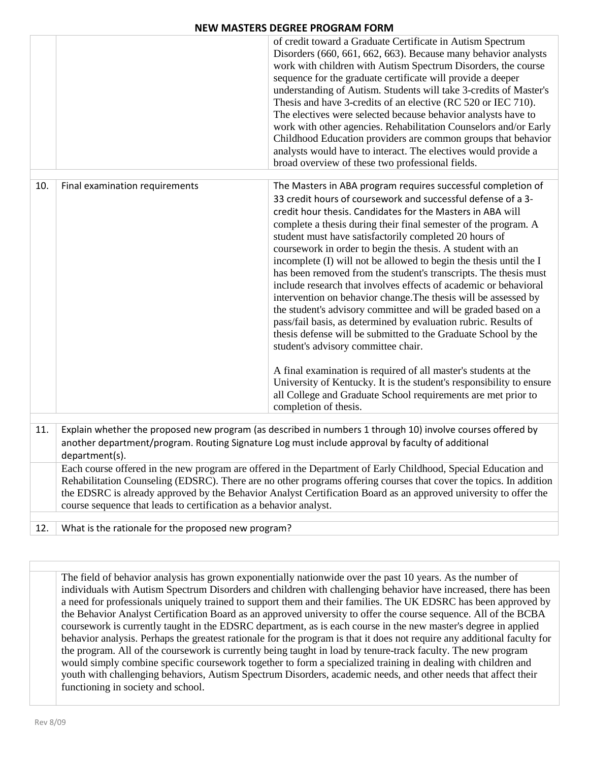## **NEW MASTERS DEGREE PROGRAM FORM**

|     |                                                                                                                                                                                                                                                                                                                                                                                                                                | of credit toward a Graduate Certificate in Autism Spectrum<br>Disorders (660, 661, 662, 663). Because many behavior analysts<br>work with children with Autism Spectrum Disorders, the course<br>sequence for the graduate certificate will provide a deeper<br>understanding of Autism. Students will take 3-credits of Master's<br>Thesis and have 3-credits of an elective (RC 520 or IEC 710).<br>The electives were selected because behavior analysts have to<br>work with other agencies. Rehabilitation Counselors and/or Early<br>Childhood Education providers are common groups that behavior<br>analysts would have to interact. The electives would provide a<br>broad overview of these two professional fields.                                                                                                                                                                                                                                                                                                                                                                                                                            |  |  |  |
|-----|--------------------------------------------------------------------------------------------------------------------------------------------------------------------------------------------------------------------------------------------------------------------------------------------------------------------------------------------------------------------------------------------------------------------------------|-----------------------------------------------------------------------------------------------------------------------------------------------------------------------------------------------------------------------------------------------------------------------------------------------------------------------------------------------------------------------------------------------------------------------------------------------------------------------------------------------------------------------------------------------------------------------------------------------------------------------------------------------------------------------------------------------------------------------------------------------------------------------------------------------------------------------------------------------------------------------------------------------------------------------------------------------------------------------------------------------------------------------------------------------------------------------------------------------------------------------------------------------------------|--|--|--|
| 10. | Final examination requirements                                                                                                                                                                                                                                                                                                                                                                                                 | The Masters in ABA program requires successful completion of<br>33 credit hours of coursework and successful defense of a 3-<br>credit hour thesis. Candidates for the Masters in ABA will<br>complete a thesis during their final semester of the program. A<br>student must have satisfactorily completed 20 hours of<br>coursework in order to begin the thesis. A student with an<br>incomplete (I) will not be allowed to begin the thesis until the I<br>has been removed from the student's transcripts. The thesis must<br>include research that involves effects of academic or behavioral<br>intervention on behavior change. The thesis will be assessed by<br>the student's advisory committee and will be graded based on a<br>pass/fail basis, as determined by evaluation rubric. Results of<br>thesis defense will be submitted to the Graduate School by the<br>student's advisory committee chair.<br>A final examination is required of all master's students at the<br>University of Kentucky. It is the student's responsibility to ensure<br>all College and Graduate School requirements are met prior to<br>completion of thesis. |  |  |  |
|     |                                                                                                                                                                                                                                                                                                                                                                                                                                |                                                                                                                                                                                                                                                                                                                                                                                                                                                                                                                                                                                                                                                                                                                                                                                                                                                                                                                                                                                                                                                                                                                                                           |  |  |  |
| 11. | Explain whether the proposed new program (as described in numbers 1 through 10) involve courses offered by<br>another department/program. Routing Signature Log must include approval by faculty of additional<br>department(s).                                                                                                                                                                                               |                                                                                                                                                                                                                                                                                                                                                                                                                                                                                                                                                                                                                                                                                                                                                                                                                                                                                                                                                                                                                                                                                                                                                           |  |  |  |
|     | Each course offered in the new program are offered in the Department of Early Childhood, Special Education and<br>Rehabilitation Counseling (EDSRC). There are no other programs offering courses that cover the topics. In addition<br>the EDSRC is already approved by the Behavior Analyst Certification Board as an approved university to offer the<br>course sequence that leads to certification as a behavior analyst. |                                                                                                                                                                                                                                                                                                                                                                                                                                                                                                                                                                                                                                                                                                                                                                                                                                                                                                                                                                                                                                                                                                                                                           |  |  |  |
| 12. | What is the rationale for the proposed new program?                                                                                                                                                                                                                                                                                                                                                                            |                                                                                                                                                                                                                                                                                                                                                                                                                                                                                                                                                                                                                                                                                                                                                                                                                                                                                                                                                                                                                                                                                                                                                           |  |  |  |
|     |                                                                                                                                                                                                                                                                                                                                                                                                                                |                                                                                                                                                                                                                                                                                                                                                                                                                                                                                                                                                                                                                                                                                                                                                                                                                                                                                                                                                                                                                                                                                                                                                           |  |  |  |

The field of behavior analysis has grown exponentially nationwide over the past 10 years. As the number of individuals with Autism Spectrum Disorders and children with challenging behavior have increased, there has been a need for professionals uniquely trained to support them and their families. The UK EDSRC has been approved by the Behavior Analyst Certification Board as an approved university to offer the course sequence. All of the BCBA coursework is currently taught in the EDSRC department, as is each course in the new master's degree in applied behavior analysis. Perhaps the greatest rationale for the program is that it does not require any additional faculty for the program. All of the coursework is currently being taught in load by tenure-track faculty. The new program would simply combine specific coursework together to form a specialized training in dealing with children and youth with challenging behaviors, Autism Spectrum Disorders, academic needs, and other needs that affect their functioning in society and school.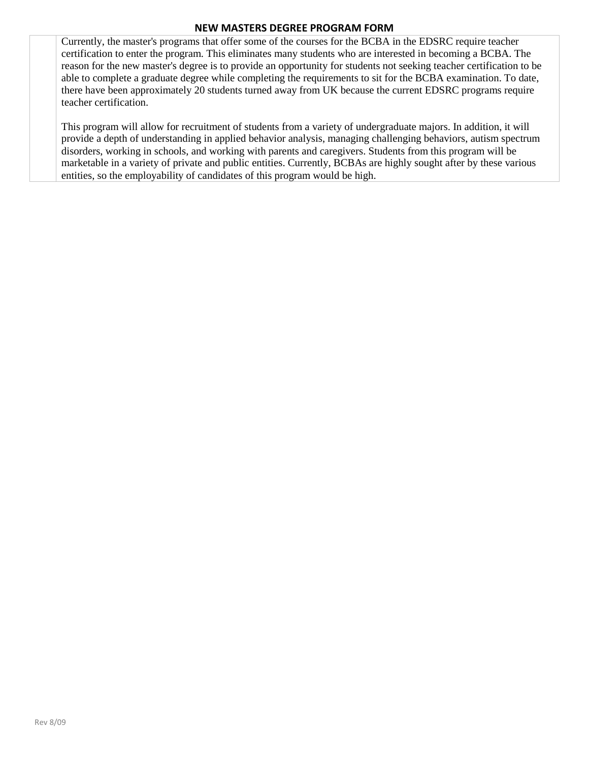## **NEW MASTERS DEGREE PROGRAM FORM**

Currently, the master's programs that offer some of the courses for the BCBA in the EDSRC require teacher certification to enter the program. This eliminates many students who are interested in becoming a BCBA. The reason for the new master's degree is to provide an opportunity for students not seeking teacher certification to be able to complete a graduate degree while completing the requirements to sit for the BCBA examination. To date, there have been approximately 20 students turned away from UK because the current EDSRC programs require teacher certification.

This program will allow for recruitment of students from a variety of undergraduate majors. In addition, it will provide a depth of understanding in applied behavior analysis, managing challenging behaviors, autism spectrum disorders, working in schools, and working with parents and caregivers. Students from this program will be marketable in a variety of private and public entities. Currently, BCBAs are highly sought after by these various entities, so the employability of candidates of this program would be high.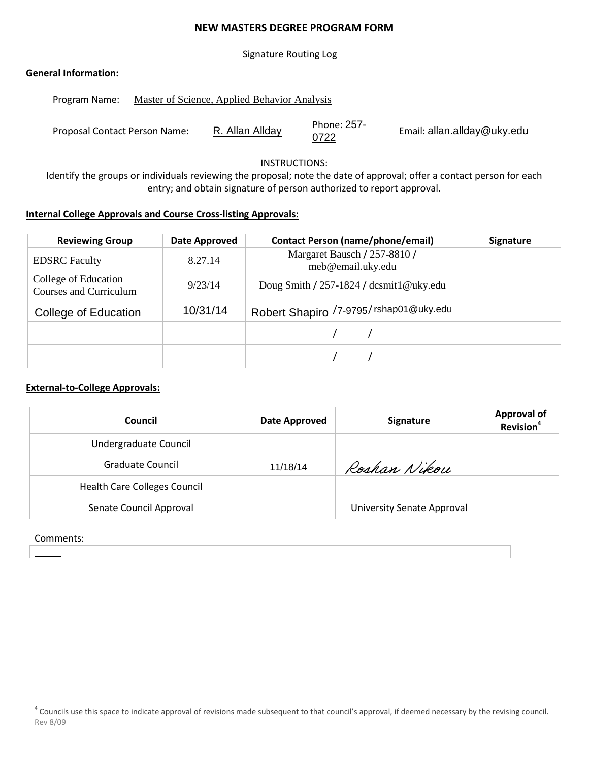## **NEW MASTERS DEGREE PROGRAM FORM**

Signature Routing Log

## **General Information:**

| Program Name:                 | Master of Science, Applied Behavior Analysis |                     |                             |
|-------------------------------|----------------------------------------------|---------------------|-----------------------------|
| Proposal Contact Person Name: | R. Allan Allday                              | Phone: 257-<br>0722 | Email: allan.allday@uky.edu |

INSTRUCTIONS:

Identify the groups or individuals reviewing the proposal; note the date of approval; offer a contact person for each entry; and obtain signature of person authorized to report approval.

## **Internal College Approvals and Course Cross-listing Approvals:**

| <b>Reviewing Group</b>                                | Date Approved | <b>Contact Person (name/phone/email)</b>          | <b>Signature</b> |
|-------------------------------------------------------|---------------|---------------------------------------------------|------------------|
| <b>EDSRC</b> Faculty                                  | 8.27.14       | Margaret Bausch / 257-8810 /<br>meb@email.uky.edu |                  |
| College of Education<br><b>Courses and Curriculum</b> | 9/23/14       | Doug Smith / 257-1824 / dcsmit1@uky.edu           |                  |
| College of Education                                  | 10/31/14      | Robert Shapiro /7-9795/rshap01@uky.edu            |                  |
|                                                       |               |                                                   |                  |
|                                                       |               |                                                   |                  |

## **External-to-College Approvals:**

| Council                             | <b>Date Approved</b> | <b>Signature</b>           | <b>Approval of</b><br>Revision <sup>4</sup> |
|-------------------------------------|----------------------|----------------------------|---------------------------------------------|
| Undergraduate Council               |                      |                            |                                             |
| Graduate Council                    | 11/18/14             | Roshan Nikou               |                                             |
| <b>Health Care Colleges Council</b> |                      |                            |                                             |
| Senate Council Approval             |                      | University Senate Approval |                                             |

## Comments:

Rev 8/09  $4$  Councils use this space to indicate approval of revisions made subsequent to that council's approval, if deemed necessary by the revising council.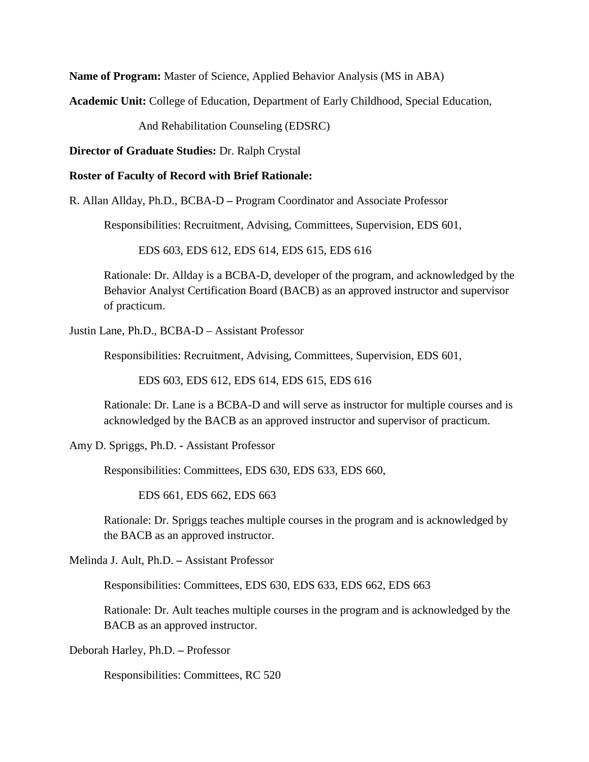**Name of Program:** Master of Science, Applied Behavior Analysis (MS in ABA)

**Academic Unit:** College of Education, Department of Early Childhood, Special Education,

And Rehabilitation Counseling (EDSRC)

**Director of Graduate Studies:** Dr. Ralph Crystal

**Roster of Faculty of Record with Brief Rationale:** 

R. Allan Allday, Ph.D., BCBA-D **–** Program Coordinator and Associate Professor

Responsibilities: Recruitment, Advising, Committees, Supervision, EDS 601,

EDS 603, EDS 612, EDS 614, EDS 615, EDS 616

Rationale: Dr. Allday is a BCBA-D, developer of the program, and acknowledged by the Behavior Analyst Certification Board (BACB) as an approved instructor and supervisor of practicum.

Justin Lane, Ph.D., BCBA-D – Assistant Professor

Responsibilities: Recruitment, Advising, Committees, Supervision, EDS 601,

EDS 603, EDS 612, EDS 614, EDS 615, EDS 616

Rationale: Dr. Lane is a BCBA-D and will serve as instructor for multiple courses and is acknowledged by the BACB as an approved instructor and supervisor of practicum.

Amy D. Spriggs, Ph.D. **-** Assistant Professor

Responsibilities: Committees, EDS 630, EDS 633, EDS 660,

EDS 661, EDS 662, EDS 663

Rationale: Dr. Spriggs teaches multiple courses in the program and is acknowledged by the BACB as an approved instructor.

Melinda J. Ault, Ph.D. **–** Assistant Professor

Responsibilities: Committees, EDS 630, EDS 633, EDS 662, EDS 663

Rationale: Dr. Ault teaches multiple courses in the program and is acknowledged by the BACB as an approved instructor.

Deborah Harley, Ph.D. **–** Professor

Responsibilities: Committees, RC 520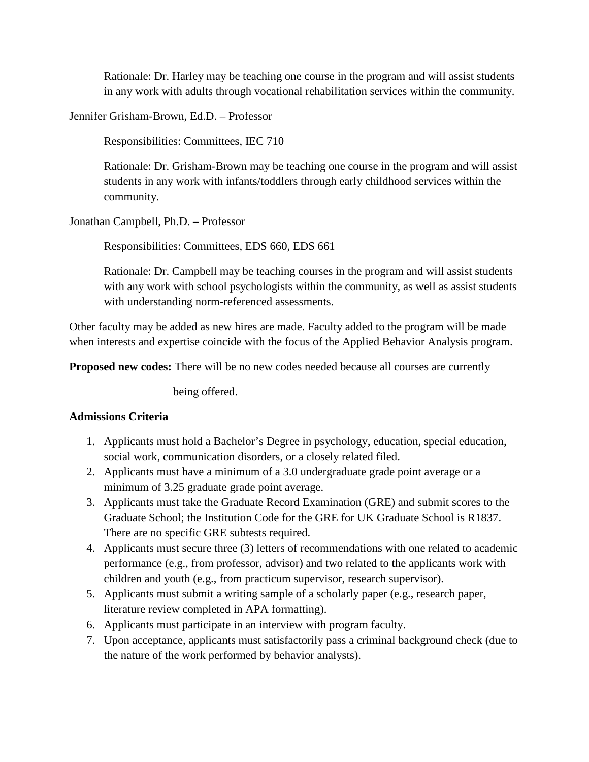Rationale: Dr. Harley may be teaching one course in the program and will assist students in any work with adults through vocational rehabilitation services within the community.

Jennifer Grisham-Brown, Ed.D. – Professor

Responsibilities: Committees, IEC 710

Rationale: Dr. Grisham-Brown may be teaching one course in the program and will assist students in any work with infants/toddlers through early childhood services within the community.

Jonathan Campbell, Ph.D. **–** Professor

Responsibilities: Committees, EDS 660, EDS 661

Rationale: Dr. Campbell may be teaching courses in the program and will assist students with any work with school psychologists within the community, as well as assist students with understanding norm-referenced assessments.

Other faculty may be added as new hires are made. Faculty added to the program will be made when interests and expertise coincide with the focus of the Applied Behavior Analysis program.

**Proposed new codes:** There will be no new codes needed because all courses are currently

being offered.

## **Admissions Criteria**

- 1. Applicants must hold a Bachelor's Degree in psychology, education, special education, social work, communication disorders, or a closely related filed.
- 2. Applicants must have a minimum of a 3.0 undergraduate grade point average or a minimum of 3.25 graduate grade point average.
- 3. Applicants must take the Graduate Record Examination (GRE) and submit scores to the Graduate School; the Institution Code for the GRE for UK Graduate School is R1837. There are no specific GRE subtests required.
- 4. Applicants must secure three (3) letters of recommendations with one related to academic performance (e.g., from professor, advisor) and two related to the applicants work with children and youth (e.g., from practicum supervisor, research supervisor).
- 5. Applicants must submit a writing sample of a scholarly paper (e.g., research paper, literature review completed in APA formatting).
- 6. Applicants must participate in an interview with program faculty.
- 7. Upon acceptance, applicants must satisfactorily pass a criminal background check (due to the nature of the work performed by behavior analysts).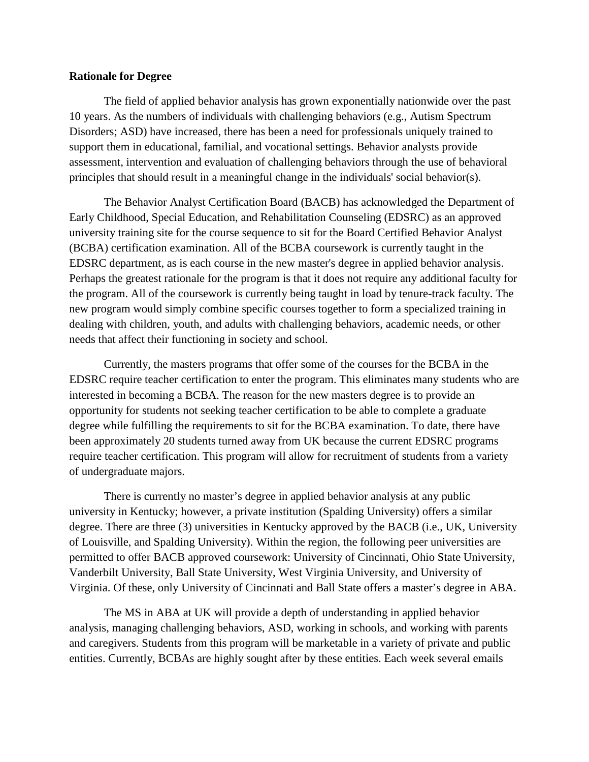## **Rationale for Degree**

The field of applied behavior analysis has grown exponentially nationwide over the past 10 years. As the numbers of individuals with challenging behaviors (e.g., Autism Spectrum Disorders; ASD) have increased, there has been a need for professionals uniquely trained to support them in educational, familial, and vocational settings. Behavior analysts provide assessment, intervention and evaluation of challenging behaviors through the use of behavioral principles that should result in a meaningful change in the individuals' social behavior(s).

The Behavior Analyst Certification Board (BACB) has acknowledged the Department of Early Childhood, Special Education, and Rehabilitation Counseling (EDSRC) as an approved university training site for the course sequence to sit for the Board Certified Behavior Analyst (BCBA) certification examination. All of the BCBA coursework is currently taught in the EDSRC department, as is each course in the new master's degree in applied behavior analysis. Perhaps the greatest rationale for the program is that it does not require any additional faculty for the program. All of the coursework is currently being taught in load by tenure-track faculty. The new program would simply combine specific courses together to form a specialized training in dealing with children, youth, and adults with challenging behaviors, academic needs, or other needs that affect their functioning in society and school.

Currently, the masters programs that offer some of the courses for the BCBA in the EDSRC require teacher certification to enter the program. This eliminates many students who are interested in becoming a BCBA. The reason for the new masters degree is to provide an opportunity for students not seeking teacher certification to be able to complete a graduate degree while fulfilling the requirements to sit for the BCBA examination. To date, there have been approximately 20 students turned away from UK because the current EDSRC programs require teacher certification. This program will allow for recruitment of students from a variety of undergraduate majors.

There is currently no master's degree in applied behavior analysis at any public university in Kentucky; however, a private institution (Spalding University) offers a similar degree. There are three (3) universities in Kentucky approved by the BACB (i.e., UK, University of Louisville, and Spalding University). Within the region, the following peer universities are permitted to offer BACB approved coursework: University of Cincinnati, Ohio State University, Vanderbilt University, Ball State University, West Virginia University, and University of Virginia. Of these, only University of Cincinnati and Ball State offers a master's degree in ABA.

The MS in ABA at UK will provide a depth of understanding in applied behavior analysis, managing challenging behaviors, ASD, working in schools, and working with parents and caregivers. Students from this program will be marketable in a variety of private and public entities. Currently, BCBAs are highly sought after by these entities. Each week several emails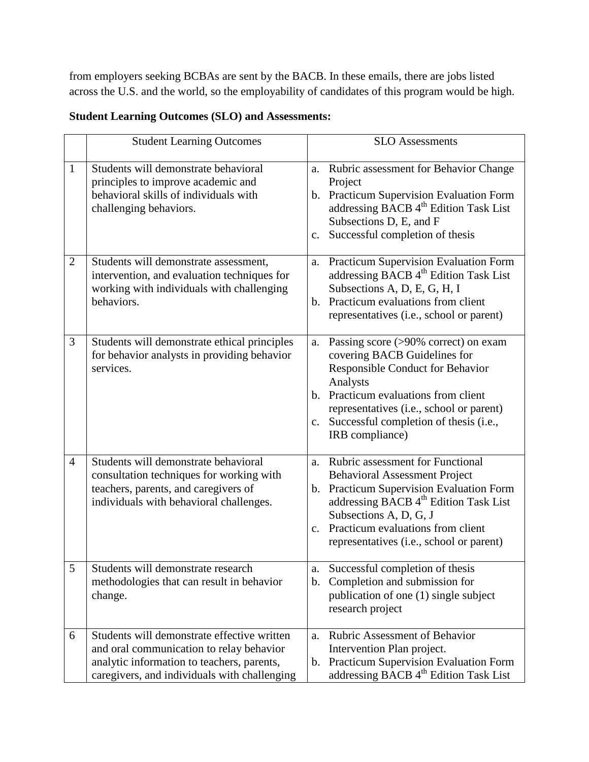from employers seeking BCBAs are sent by the BACB. In these emails, there are jobs listed across the U.S. and the world, so the employability of candidates of this program would be high.

|                | <b>Student Learning Outcomes</b>                                                                                                                                                      | <b>SLO</b> Assessments                                                                                                                                                                                                                                                                                                          |
|----------------|---------------------------------------------------------------------------------------------------------------------------------------------------------------------------------------|---------------------------------------------------------------------------------------------------------------------------------------------------------------------------------------------------------------------------------------------------------------------------------------------------------------------------------|
| 1              | Students will demonstrate behavioral<br>principles to improve academic and<br>behavioral skills of individuals with<br>challenging behaviors.                                         | Rubric assessment for Behavior Change<br>a.<br>Project<br>b. Practicum Supervision Evaluation Form<br>addressing BACB 4 <sup>th</sup> Edition Task List<br>Subsections D, E, and F<br>Successful completion of thesis<br>$\mathbf{c}$ .                                                                                         |
| $\overline{2}$ | Students will demonstrate assessment,<br>intervention, and evaluation techniques for<br>working with individuals with challenging<br>behaviors.                                       | Practicum Supervision Evaluation Form<br>a.<br>addressing BACB 4 <sup>th</sup> Edition Task List<br>Subsections A, D, E, G, H, I<br>b. Practicum evaluations from client<br>representatives (i.e., school or parent)                                                                                                            |
| 3              | Students will demonstrate ethical principles<br>for behavior analysts in providing behavior<br>services.                                                                              | Passing score (>90% correct) on exam<br>a.<br>covering BACB Guidelines for<br>Responsible Conduct for Behavior<br>Analysts<br>b. Practicum evaluations from client<br>representatives (i.e., school or parent)<br>Successful completion of thesis (i.e.,<br>$c_{\cdot}$<br>IRB compliance)                                      |
| $\overline{4}$ | Students will demonstrate behavioral<br>consultation techniques for working with<br>teachers, parents, and caregivers of<br>individuals with behavioral challenges.                   | <b>Rubric assessment for Functional</b><br>a <sub>z</sub><br><b>Behavioral Assessment Project</b><br>b. Practicum Supervision Evaluation Form<br>addressing BACB 4 <sup>th</sup> Edition Task List<br>Subsections A, D, G, J<br>Practicum evaluations from client<br>$\mathbf{c}$ .<br>representatives (i.e., school or parent) |
| 5              | Students will demonstrate research<br>methodologies that can result in behavior<br>change.                                                                                            | Successful completion of thesis<br>a.<br>Completion and submission for<br>b.<br>publication of one (1) single subject<br>research project                                                                                                                                                                                       |
| 6              | Students will demonstrate effective written<br>and oral communication to relay behavior<br>analytic information to teachers, parents,<br>caregivers, and individuals with challenging | <b>Rubric Assessment of Behavior</b><br>a.<br>Intervention Plan project.<br>Practicum Supervision Evaluation Form<br>b.<br>addressing BACB 4 <sup>th</sup> Edition Task List                                                                                                                                                    |

# **Student Learning Outcomes (SLO) and Assessments:**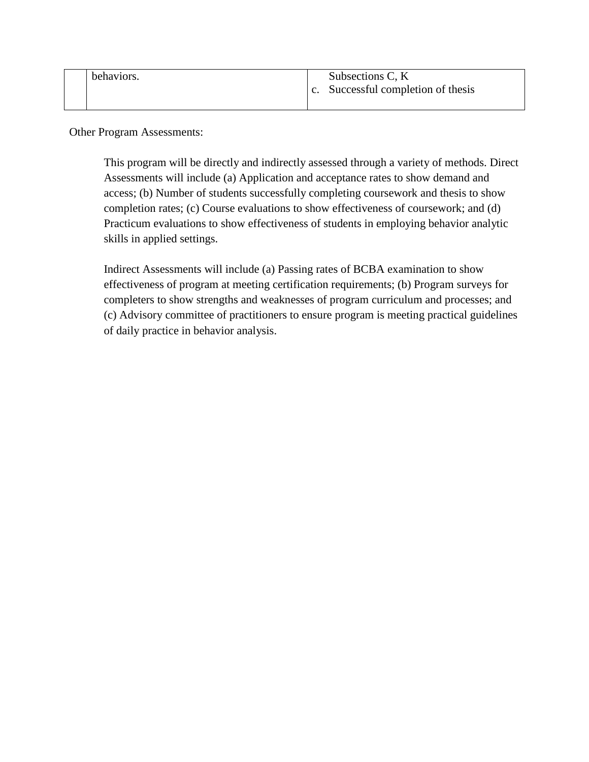| behaviors. | Subsections C, K                   |
|------------|------------------------------------|
|            | c. Successful completion of thesis |
|            |                                    |

Other Program Assessments:

This program will be directly and indirectly assessed through a variety of methods. Direct Assessments will include (a) Application and acceptance rates to show demand and access; (b) Number of students successfully completing coursework and thesis to show completion rates; (c) Course evaluations to show effectiveness of coursework; and (d) Practicum evaluations to show effectiveness of students in employing behavior analytic skills in applied settings.

Indirect Assessments will include (a) Passing rates of BCBA examination to show effectiveness of program at meeting certification requirements; (b) Program surveys for completers to show strengths and weaknesses of program curriculum and processes; and (c) Advisory committee of practitioners to ensure program is meeting practical guidelines of daily practice in behavior analysis.